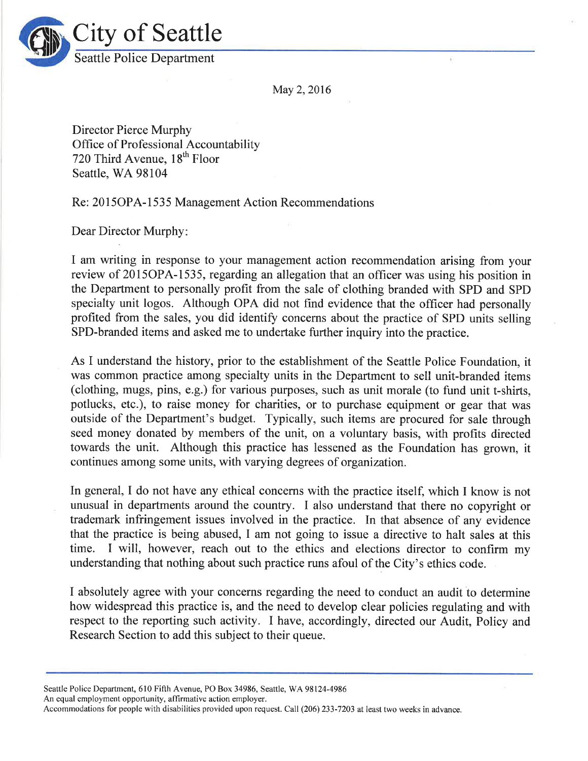

May 2, 2016

Director Pierce Murphy Office of Professional Accountability 720 Third Avenue, 18<sup>th</sup> Floor Seattle, WA 98104

Re: 20l5OPA-l 535 Management Action Recommendations

Dear Director Murphy:

I am writing in response to your management action recommendation arising from your review of 2015OPA-1535, regarding an allegation that an officer was using his position in the Department to personally profit from the sale of clothing branded with SPD and SPD specialty unit logos. Although OPA did not find evidence that the officer had personally profited from the sales, you did identify concerns about the practice of SPD units selling SPD-branded items and asked me to undertake further inquiry into the practice.

As I understand the history, prior to the establishment of the Seattle Police Foundation, it was common practice among specialty units in the Department to sell unit-branded items (clothing, mugs, pins, e.g.) for various purposes, such as unit morale (to fund unit t-shirts, potlucks, etc.), to raise money for charities, or to purchase equipment or gear that was outside of the Department's budget. Typically, such items are procured for sale through seed money donated by members of the unit, on a voluntary basis, with profits directed towards the unit. Although this practice has lessened as the Foundation has grown, it continues among some units, with varying degrees of organization.

In general, I do not have any ethical concerns with the practice itself, which I know is not unusual in departments around the country. I also understand that there no copyright or trademark infringement issues involved in the practice. In that absence of any evidence that the practice is being abused, I am not going to issue a directive to halt sales at this time. I will, however, reach out to the ethics and elections director to confirm my understanding that nothing about such practice runs afoul of the City's ethics code.

I absolutely agree with your concerns regarding the need to conduct an audit to determine how widespread this practice is, and the need to develop clear policies regulating and with respect to the reporting such activity. I have, accordingly, directed our Audit, Policy and Research Section to add this subject to their queue.

Seattle Police Department, 610 Fifth Avenue, PO Box 34986, Seattle, WA 98124-4986

An equal employment opportunity, affirmative action employer.

Accommodations for people with disabilities provided upon request. Call (206) 233-7203 at least two weeks in advance.